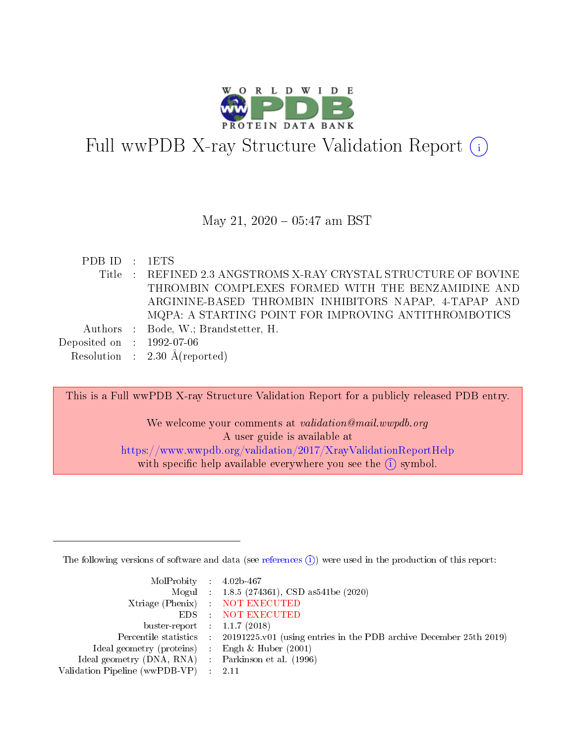

# Full wwPDB X-ray Structure Validation Report (i)

#### May 21,  $2020 - 05:47$  am BST

| PDB ID : 1ETS               |                                                                 |
|-----------------------------|-----------------------------------------------------------------|
|                             | Title : REFINED 2.3 ANGSTROMS X-RAY CRYSTAL STRUCTURE OF BOVINE |
|                             | THROMBIN COMPLEXES FORMED WITH THE BENZAMIDINE AND              |
|                             | ARGININE-BASED THROMBIN INHIBITORS NAPAP, 4-TAPAP AND           |
|                             | MQPA: A STARTING POINT FOR IMPROVING ANTITHROMBOTICS            |
|                             | Authors : Bode, W.; Brandstetter, H.                            |
| Deposited on : $1992-07-06$ |                                                                 |
|                             | Resolution : $2.30 \text{ Å}(\text{reported})$                  |

This is a Full wwPDB X-ray Structure Validation Report for a publicly released PDB entry.

We welcome your comments at validation@mail.wwpdb.org A user guide is available at <https://www.wwpdb.org/validation/2017/XrayValidationReportHelp> with specific help available everywhere you see the  $(i)$  symbol.

The following versions of software and data (see [references](https://www.wwpdb.org/validation/2017/XrayValidationReportHelp#references)  $(i)$ ) were used in the production of this report:

| $MolProbability$ 4.02b-467                          |                                                                                            |
|-----------------------------------------------------|--------------------------------------------------------------------------------------------|
|                                                     | Mogul : 1.8.5 (274361), CSD as 541be (2020)                                                |
|                                                     | Xtriage (Phenix) NOT EXECUTED                                                              |
|                                                     | EDS : NOT EXECUTED                                                                         |
| buster-report : $1.1.7(2018)$                       |                                                                                            |
|                                                     | Percentile statistics : 20191225.v01 (using entries in the PDB archive December 25th 2019) |
| Ideal geometry (proteins) : Engh $\&$ Huber (2001)  |                                                                                            |
| Ideal geometry (DNA, RNA) : Parkinson et al. (1996) |                                                                                            |
| Validation Pipeline (wwPDB-VP)                      | -2.11                                                                                      |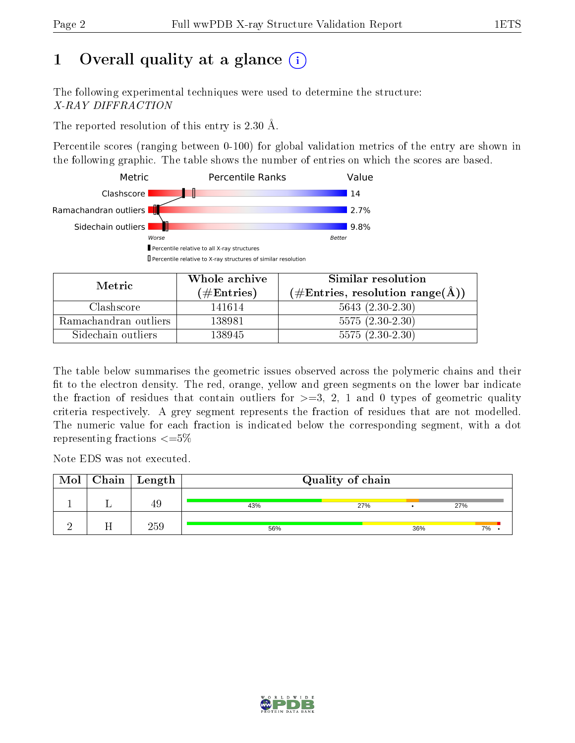# 1 [O](https://www.wwpdb.org/validation/2017/XrayValidationReportHelp#overall_quality)verall quality at a glance  $(i)$

The following experimental techniques were used to determine the structure: X-RAY DIFFRACTION

The reported resolution of this entry is 2.30 Å.

Percentile scores (ranging between 0-100) for global validation metrics of the entry are shown in the following graphic. The table shows the number of entries on which the scores are based.



| Metric                | Whole archive<br>$(\#\text{Entries})$ | Similar resolution<br>$(\text{\#Entries, resolution range}(\text{\AA}))$ |
|-----------------------|---------------------------------------|--------------------------------------------------------------------------|
| Clashscore            | 141614                                | $5643 (2.30-2.30)$                                                       |
| Ramachandran outliers | 138981                                | $5575(2.30-2.30)$                                                        |
| Sidechain outliers    | 138945                                | $5575(2.30-2.30)$                                                        |

The table below summarises the geometric issues observed across the polymeric chains and their fit to the electron density. The red, orange, yellow and green segments on the lower bar indicate the fraction of residues that contain outliers for  $\geq=3$ , 2, 1 and 0 types of geometric quality criteria respectively. A grey segment represents the fraction of residues that are not modelled. The numeric value for each fraction is indicated below the corresponding segment, with a dot representing fractions  $\leq=5\%$ 

Note EDS was not executed.

| Mol | $\vert$ Chain $\vert$ Length |     | Quality of chain |     |     |
|-----|------------------------------|-----|------------------|-----|-----|
|     | 49                           | 43% | 27%              |     | 27% |
|     | 259                          | 56% |                  | 36% | 7%  |

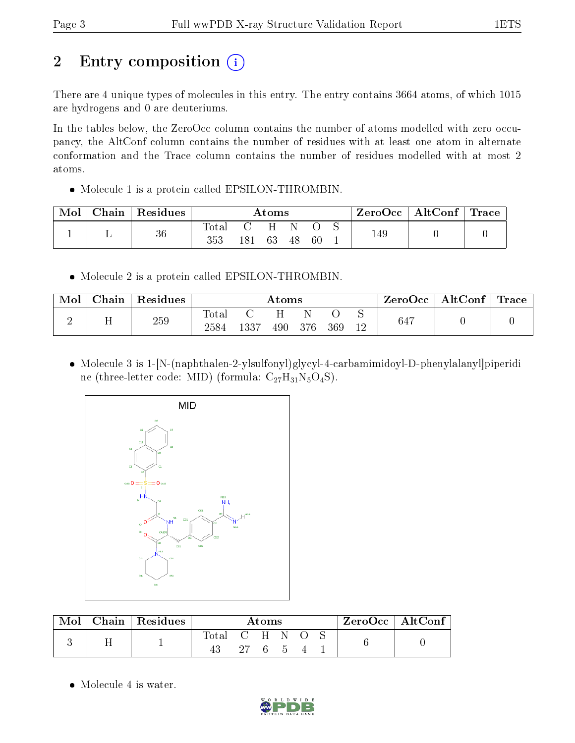# 2 Entry composition  $\left( \cdot \right)$

There are 4 unique types of molecules in this entry. The entry contains 3664 atoms, of which 1015 are hydrogens and 0 are deuteriums.

In the tables below, the ZeroOcc column contains the number of atoms modelled with zero occupancy, the AltConf column contains the number of residues with at least one atom in alternate conformation and the Trace column contains the number of residues modelled with at most 2 atoms.

• Molecule 1 is a protein called EPSILON-THROMBIN.

| Mol | Chain | Residues |              |     | $\rm{Atoms}$ |    |    | ZeroOcc∣ | $\mid$ AltConf $\mid$ Trace $\mid$ |  |
|-----|-------|----------|--------------|-----|--------------|----|----|----------|------------------------------------|--|
|     | -     | 36       | Total<br>353 | 181 | 63           | 48 | 60 | 149      |                                    |  |

Molecule 2 is a protein called EPSILON-THROMBIN.

| Mol | Chain | $\perp$ Residues |               |      | Atoms |      |     |     | $\text{ZeroOcc} \mid \text{AltConf} \mid \text{Trace}$ |  |
|-----|-------|------------------|---------------|------|-------|------|-----|-----|--------------------------------------------------------|--|
|     |       | 259              | Total<br>2584 | 1337 | 490-  | -376 | 369 | 647 |                                                        |  |

 Molecule 3 is 1-[N-(naphthalen-2-ylsulfonyl)glycyl-4-carbamimidoyl-D-phenylalanyl]piperidi ne (three-letter code: MID) (formula:  $C_{27}H_{31}N_5O_4S$ ).



| Mol | Chain Residues | Atoms |                 |  |  | $ZeroOcc \   \ AltConf \  $ |  |  |
|-----|----------------|-------|-----------------|--|--|-----------------------------|--|--|
|     |                | Total | - C H<br>27 6 5 |  |  |                             |  |  |

• Molecule 4 is water.

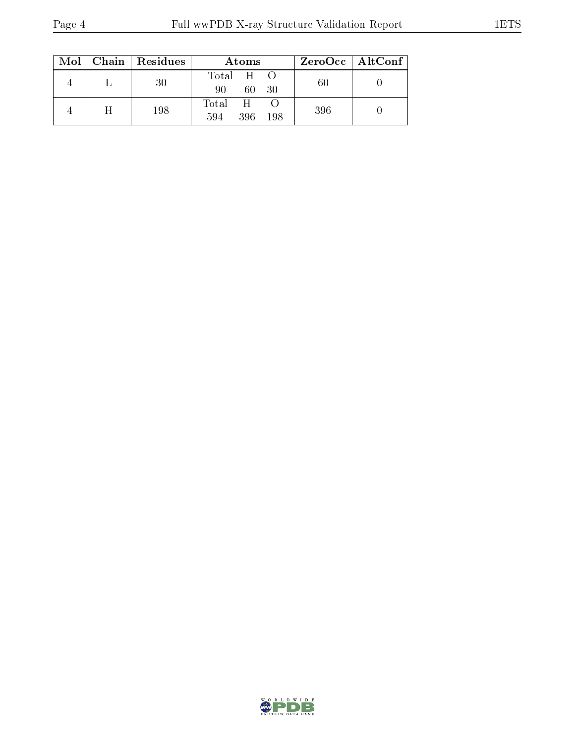|  | $Mol$   Chain   Residues | <b>Atoms</b>                  |     | $ZeroOcc \   \$ AltConf |
|--|--------------------------|-------------------------------|-----|-------------------------|
|  | 30                       | Total H<br>60<br>-30<br>90    | 60  |                         |
|  | 198                      | Total H<br>594<br>396<br>-198 | 396 |                         |

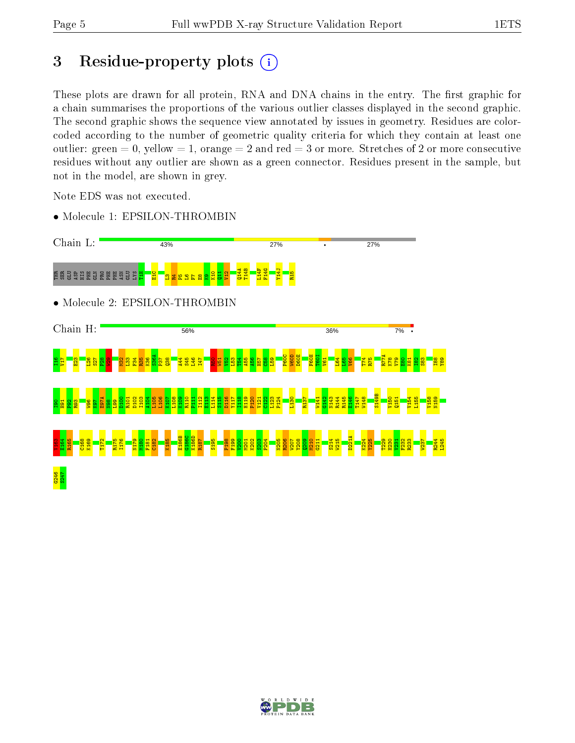# 3 Residue-property plots  $(i)$

These plots are drawn for all protein, RNA and DNA chains in the entry. The first graphic for a chain summarises the proportions of the various outlier classes displayed in the second graphic. The second graphic shows the sequence view annotated by issues in geometry. Residues are colorcoded according to the number of geometric quality criteria for which they contain at least one outlier: green  $= 0$ , yellow  $= 1$ , orange  $= 2$  and red  $= 3$  or more. Stretches of 2 or more consecutive residues without any outlier are shown as a green connector. Residues present in the sample, but not in the model, are shown in grey.

Note EDS was not executed.

• Molecule 1: EPSILON-THROMBIN



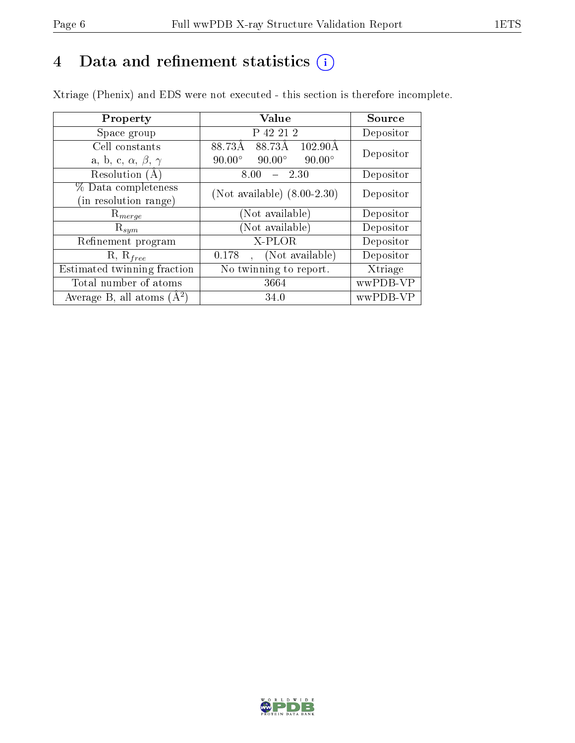## 4 Data and refinement statistics  $(i)$

Xtriage (Phenix) and EDS were not executed - this section is therefore incomplete.

| Property                               | Value                                           | Source    |  |
|----------------------------------------|-------------------------------------------------|-----------|--|
| Space group                            | P 42 21 2                                       | Depositor |  |
| Cell constants                         | 88.73Å<br>88.73Å<br>$102.90\text{\AA}$          | Depositor |  |
| a, b, c, $\alpha$ , $\beta$ , $\gamma$ | $90.00^\circ$<br>$90.00^\circ$<br>$90.00^\circ$ |           |  |
| Resolution (A)                         | 8.00<br>2.30                                    | Depositor |  |
| % Data completeness                    | (Not available) $(8.00-2.30)$                   | Depositor |  |
| (in resolution range)                  |                                                 |           |  |
| $R_{merge}$                            | (Not available)                                 | Depositor |  |
| $\mathrm{R}_{sym}$                     | (Not available)                                 | Depositor |  |
| Refinement program                     | X-PLOR                                          | Depositor |  |
| $R, R_{free}$                          | (Not available)<br>0.178                        | Depositor |  |
| Estimated twinning fraction            | No twinning to report.                          | Xtriage   |  |
| Total number of atoms                  | 3664                                            | wwPDB-VP  |  |
| Average B, all atoms $(A^2)$           | 34.0                                            | wwPDB-VP  |  |

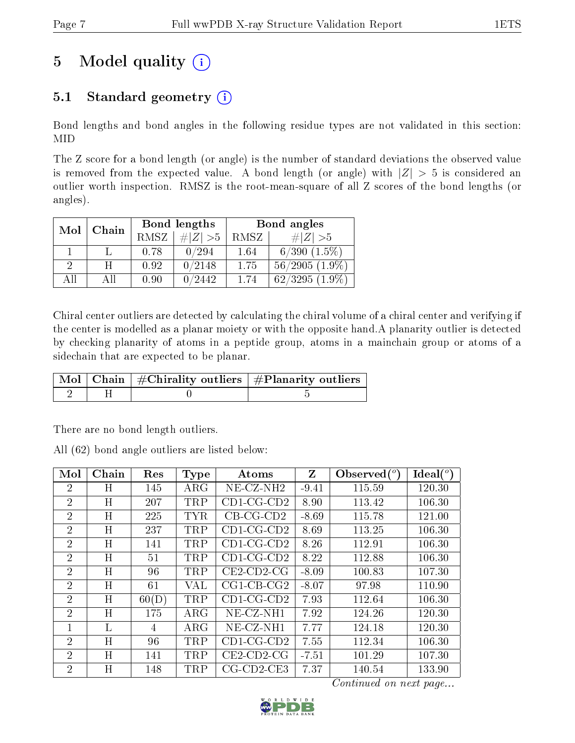# 5 Model quality  $(i)$

## 5.1 Standard geometry  $(i)$

Bond lengths and bond angles in the following residue types are not validated in this section: MID

The Z score for a bond length (or angle) is the number of standard deviations the observed value is removed from the expected value. A bond length (or angle) with  $|Z| > 5$  is considered an outlier worth inspection. RMSZ is the root-mean-square of all Z scores of the bond lengths (or angles).

| Mol | Chain |             | Bond lengths | Bond angles |                     |  |
|-----|-------|-------------|--------------|-------------|---------------------|--|
|     |       | <b>RMSZ</b> | # $ Z  > 5$  | RMSZ        | $\ Z\  > 5$         |  |
|     |       | 0.78        | 0/294        | 1.64        | $6/390$ $(1.5\%)$   |  |
| 2   | H     | 0.92        | 0/2148       | 1.75        | $56/2905(1.9\%)$    |  |
| AП  | ΑH    | 0.90        | 0/2442       | 1 74        | $62/3295$ $(1.9\%)$ |  |

Chiral center outliers are detected by calculating the chiral volume of a chiral center and verifying if the center is modelled as a planar moiety or with the opposite hand.A planarity outlier is detected by checking planarity of atoms in a peptide group, atoms in a mainchain group or atoms of a sidechain that are expected to be planar.

|  | $\mid$ Mol $\mid$ Chain $\mid$ #Chirality outliers $\mid$ #Planarity outliers $\mid$ |
|--|--------------------------------------------------------------------------------------|
|  |                                                                                      |

There are no bond length outliers.

All (62) bond angle outliers are listed below:

| Mol            | Chain     | Res   | <b>Type</b> | Atoms                | Z       | Observed $(°)$ | Ideal $(°)$ |
|----------------|-----------|-------|-------------|----------------------|---------|----------------|-------------|
| $\overline{2}$ | Η         | 145   | $\rm{ARG}$  | $NE-CZ-NH2$          | $-9.41$ | 115.59         | 120.30      |
| $\overline{2}$ | H         | 207   | <b>TRP</b>  | $CD1$ -CG-CD2        | 8.90    | 113.42         | 106.30      |
| $\overline{2}$ | H         | 225   | <b>TYR</b>  | $CB-CG-CD2$          | $-8.69$ | 115.78         | 121.00      |
| $\overline{2}$ | H         | 237   | <b>TRP</b>  | $CD1$ -CG-CD2        | 8.69    | 113.25         | 106.30      |
| $\overline{2}$ | H         | 141   | <b>TRP</b>  | $CD1-CG-CD2$         | 8.26    | 112.91         | 106.30      |
| $\overline{2}$ | H         | 51    | <b>TRP</b>  | $CD1$ -CG-CD2        | 8.22    | 112.88         | 106.30      |
| $\overline{2}$ | H         | 96    | <b>TRP</b>  | $CE2$ -CD2-CG        | $-8.09$ | 100.83         | 107.30      |
| $\overline{2}$ | H         | 61    | VAL         | $CG1$ -CB-CG2        | $-8.07$ | 97.98          | 110.90      |
| $\overline{2}$ | H         | 60(D) | <b>TRP</b>  | $CD1-CG-CD2$         | 7.93    | 112.64         | 106.30      |
| 2              | H         | 175   | $\rm{ARG}$  | $NE-CZ-NH1$          | 7.92    | 124.26         | 120.30      |
| $\mathbf{1}$   | L         | 4     | $\rm{ARG}$  | $NE-CZ-NH1$          | 7.77    | 124.18         | 120.30      |
| $\overline{2}$ | H         | 96    | <b>TRP</b>  | $CD1$ -CG-CD2        | 7.55    | 112.34         | 106.30      |
| $\overline{2}$ | H         | 141   | <b>TRP</b>  | $CE2$ -CD2-CG        | $-7.51$ | 101.29         | 107.30      |
| $\overline{2}$ | $H_{\rm}$ | 148   | <b>TRP</b>  | $CG$ - $CD2$ - $CE3$ | 7.37    | 140.54         | 133.90      |

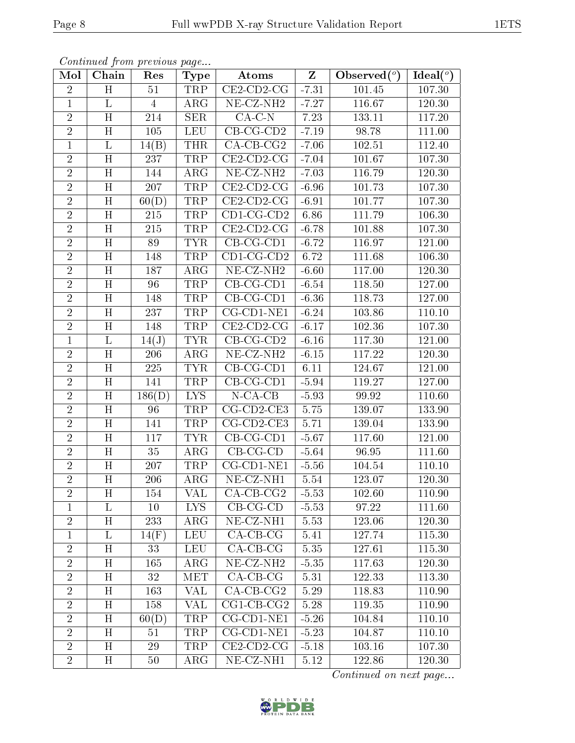| Continued from previous page |  |  |
|------------------------------|--|--|

| Mol            | Chain                   | Res                | <b>Type</b>          | Atoms                          | $\mathbf{Z}$ | Observed $\overline{({}^{\circ})}$ | Ideal $(°)$ |
|----------------|-------------------------|--------------------|----------------------|--------------------------------|--------------|------------------------------------|-------------|
| $\overline{2}$ | H                       | 51                 | TRP                  | $CE2$ -CD2-CG                  | $-7.31$      | 101.45                             | 107.30      |
| $\mathbf{1}$   | L                       | $\overline{4}$     | $\rm{ARG}$           | $\overline{\text{NE}}$ -CZ-NH2 | $-7.27$      | 116.67                             | 120.30      |
| $\overline{2}$ | $\overline{H}$          | 214                | SER                  | $CA-C-N$                       | 7.23         | 133.11                             | 117.20      |
| $\overline{2}$ | H                       | 105                | <b>LEU</b>           | $CB-CG-CD2$                    | $-7.19$      | 98.78                              | 111.00      |
| $\overline{1}$ | $\overline{\mathrm{L}}$ | $\overline{14(B)}$ | <b>THR</b>           | $CA$ -CB-CG <sub>2</sub>       | $-7.06$      | 102.51                             | 112.40      |
| $\sqrt{2}$     | H                       | 237                | TRP                  | $CE2$ -CD2-CG                  | $-7.04$      | 101.67                             | 107.30      |
| $\overline{2}$ | H                       | 144                | $\rm{ARG}$           | $NE- CZ-NH2$                   | $-7.03$      | 116.79                             | 120.30      |
| $\overline{2}$ | H                       | 207                | <b>TRP</b>           | $\overline{\text{CE2-CD2-CG}}$ | $-6.96$      | 101.73                             | 107.30      |
| $\overline{2}$ | H                       | 60(D)              | <b>TRP</b>           | $CE2$ -CD2-CG                  | $-6.91$      | 101.77                             | 107.30      |
| $\overline{2}$ | H                       | 215                | <b>TRP</b>           | $CD1$ -CG-CD2                  | 6.86         | 111.79                             | 106.30      |
| $\overline{2}$ | H                       | 215                | TRP                  | $CE2$ -CD2-CG                  | $-6.78$      | 101.88                             | 107.30      |
| $\overline{2}$ | H                       | 89                 | <b>TYR</b>           | $CB-CG-CD1$                    | $-6.72$      | 116.97                             | 121.00      |
| $\overline{2}$ | H                       | 148                | <b>TRP</b>           | $CD1$ -CG-CD2                  | 6.72         | 111.68                             | 106.30      |
| $\overline{2}$ | H                       | 187                | ARG                  | NE-CZ-NH <sub>2</sub>          | $-6.60$      | 117.00                             | 120.30      |
| $\overline{2}$ | $\overline{\mathrm{H}}$ | 96                 | <b>TRP</b>           | $CB-CG-CD1$                    | $-6.54$      | 118.50                             | 127.00      |
| $\overline{2}$ | H                       | 148                | TRP                  | $\overline{\text{CB-CG-CD1}}$  | $-6.36$      | 118.73                             | 127.00      |
| $\overline{2}$ | H                       | 237                | <b>TRP</b>           | CG-CD1-NE1                     | $-6.24$      | 103.86                             | 110.10      |
| $\overline{2}$ | H                       | 148                | TRP                  | $CE2$ -CD2-CG                  | $-6.17$      | 102.36                             | 107.30      |
| $\mathbf{1}$   | $\Gamma$                | 14(J)              | <b>TYR</b>           | $CB$ -CG-CD2                   | $-6.16$      | 117.30                             | 121.00      |
| $\overline{2}$ | $\overline{H}$          | 206                | $\overline{\rm ARG}$ | $NE-CZ-NH2$                    | $-6.15$      | 117.22                             | 120.30      |
| $\sqrt{2}$     | H                       | 225                | <b>TYR</b>           | $CB-CG-CD1$                    | 6.11         | 124.67                             | 121.00      |
| $\overline{2}$ | $\overline{\rm H}$      | 141                | <b>TRP</b>           | $CB-CG-CD1$                    | $-5.94$      | 119.27                             | 127.00      |
| $\overline{2}$ | H                       | 186(D)             | ${\rm LYS}$          | $N$ -CA-CB                     | $-5.93$      | 99.92                              | 110.60      |
| $\overline{2}$ | $\overline{\mathrm{H}}$ | 96                 | <b>TRP</b>           | $CG$ - $CD2$ - $CE3$           | 5.75         | 139.07                             | 133.90      |
| $\overline{2}$ | H                       | 141                | <b>TRP</b>           | CG-CD2-CE3                     | 5.71         | 139.04                             | 133.90      |
| $\sqrt{2}$     | H                       | 117                | <b>TYR</b>           | $CB$ -CG-CD1                   | $-5.67$      | 117.60                             | 121.00      |
| $\overline{2}$ | H                       | 35                 | $\rm{ARG}$           | $CB-CG-CD$                     | $-5.64$      | 96.95                              | 111.60      |
| $\overline{2}$ | H                       | 207                | <b>TRP</b>           | CG-CD1-NE1                     | $-5.56$      | 104.54                             | 110.10      |
| $\overline{2}$ | H                       | 206                | ARG                  | NE-CZ-NH1                      | $5.54\,$     | 123.07                             | 120.30      |
| $\overline{2}$ | H                       | 154                | VAL                  | $CA-CB-CG2$                    | $-5.53$      | 102.60                             | 110.90      |
| 1              | L                       | 10                 | LYS.                 | $CB-CG-CD$                     | $-5.53$      | 97.22                              | 111.60      |
| $\overline{2}$ | $H_{\parallel}$         | 233                | $\rm{ARG}$           | $NE- CZ-NH1$                   | 5.53         | 123.06                             | 120.30      |
| $\mathbf{1}$   | L                       | 14(F)              | <b>LEU</b>           | $CA-CB-CG$                     | 5.41         | 127.74                             | 115.30      |
| $\sqrt{2}$     | H                       | 33                 | <b>LEU</b>           | $CA-CB-CG$                     | 5.35         | 127.61                             | 115.30      |
| $\sqrt{2}$     | Η                       | 165                | $\rm{ARG}$           | NE-CZ-NH <sub>2</sub>          | $-5.35$      | 117.63                             | 120.30      |
| $\overline{2}$ | $H_{\parallel}$         | 32                 | MET                  | $CA-CB-CG$                     | 5.31         | 122.33                             | 113.30      |
| $\overline{2}$ | Η                       | 163                | VAL                  | $CA-CB-CG2$                    | 5.29         | 118.83                             | 110.90      |
| $\overline{2}$ | $H_{\parallel}$         | 158                | VAL                  | $CG1$ - $CB$ - $CG2$           | 5.28         | 119.35                             | 110.90      |
| $\overline{2}$ | H                       | 60(D)              | TRP                  | CG-CD1-NE1                     | $-5.26$      | 104.84                             | 110.10      |
| $\overline{2}$ | $H_{\parallel}$         | 51                 | TRP                  | CG-CD1-NE1                     | $-5.23$      | 104.87                             | 110.10      |
| $\overline{2}$ | H                       | 29                 | TRP                  | $CE2$ -CD2-CG                  | $-5.18$      | 103.16                             | 107.30      |
| $\overline{2}$ | $H_{\parallel}$         | 50                 | ${\rm ARG}$          | $NE- CZ-NH1$                   | 5.12         | 122.86                             | 120.30      |

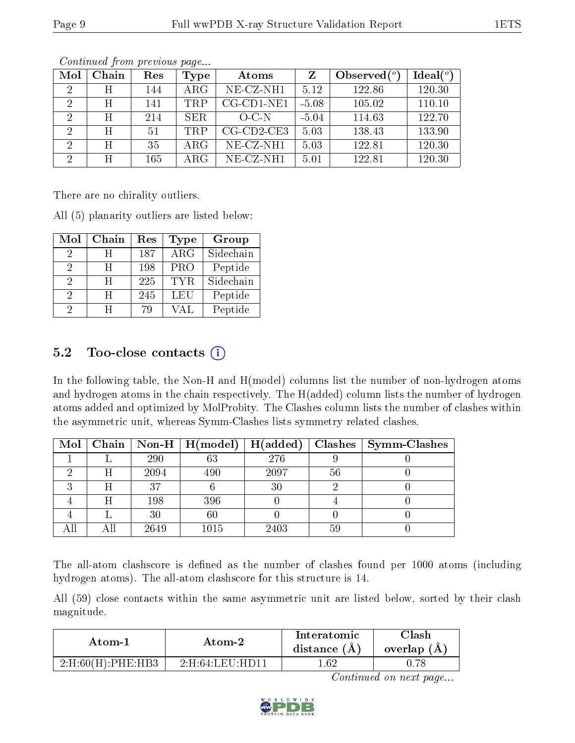| Mol           | Chain | Res | Type       | Atoms                 |         | Observed $(°)$ | Ideal $(°)$ |
|---------------|-------|-----|------------|-----------------------|---------|----------------|-------------|
| $\mathcal{D}$ | Η     | 144 | $\rm{ARG}$ | $NE- CZ-NH1$          | 5.12    | 122.86         | 120.30      |
| 2             | H     | 141 | TRP        | $CG$ - $CD1$ - $NE1$  | $-5.08$ | 105.02         | 110.10      |
| $\mathcal{D}$ | Η     | 214 | <b>SER</b> | $O-C-N$               | $-5.04$ | 114.63         | 122.70      |
|               | H     | 51  | <b>TRP</b> | $CG$ - $CD$ 2- $CE$ 3 | 5.03    | 138.43         | 133.90      |
|               | H     | 35  | ARG        | $NE- CZ-NH1$          | 5.03    | 122.81         | 120.30      |
| $\Omega$      | Η     | 165 | ARG        | $NE-CZ-NH1$           | 5.01    | 122.81         | 120.30      |

There are no chirality outliers.

All (5) planarity outliers are listed below:

| Mol | Chain | Res | Type                    | Group     |
|-----|-------|-----|-------------------------|-----------|
| 2   | H     | 187 | $\overline{\text{ARG}}$ | Sidechain |
| 2   | H     | 198 | PRO                     | Peptide   |
| 2   | H     | 225 | TYR.                    | Sidechain |
| 2   | Ħ     | 245 | LEU                     | Peptide   |
| 2   | H     | 79  | VAL.                    | Peptide   |

## 5.2 Too-close contacts  $(i)$

In the following table, the Non-H and H(model) columns list the number of non-hydrogen atoms and hydrogen atoms in the chain respectively. The H(added) column lists the number of hydrogen atoms added and optimized by MolProbity. The Clashes column lists the number of clashes within the asymmetric unit, whereas Symm-Clashes lists symmetry related clashes.

| $\bf{Mol}$ |   |      | $\mid$ Chain $\mid$ Non-H $\mid$ H(model) $\mid$ | $H(\mathrm{added})$ |    | Clashes   Symm-Clashes |
|------------|---|------|--------------------------------------------------|---------------------|----|------------------------|
|            |   | 290  | 63                                               | 276                 |    |                        |
|            | Н | 2094 | 490                                              | 2097                | 56 |                        |
|            |   | 37   |                                                  | 30                  |    |                        |
|            |   | 198  | 396                                              |                     |    |                        |
|            |   | 30   | $60\,$                                           |                     |    |                        |
|            |   | 2649 | 1015                                             | 2403                | 59 |                        |

The all-atom clashscore is defined as the number of clashes found per 1000 atoms (including hydrogen atoms). The all-atom clashscore for this structure is 14.

All (59) close contacts within the same asymmetric unit are listed below, sorted by their clash magnitude.

| Atom-1                   | Atom-2                                                                | Interatomic<br>distance (A) | $\operatorname{Clash}$<br>overlap $(A)$ |
|--------------------------|-----------------------------------------------------------------------|-----------------------------|-----------------------------------------|
| $2:$ H $:60(H):$ PHE:HB3 | $2 \cdot H \cdot 64 \cdot I \cdot F \cdot U \cdot H \cdot D \cdot 11$ | .62                         |                                         |

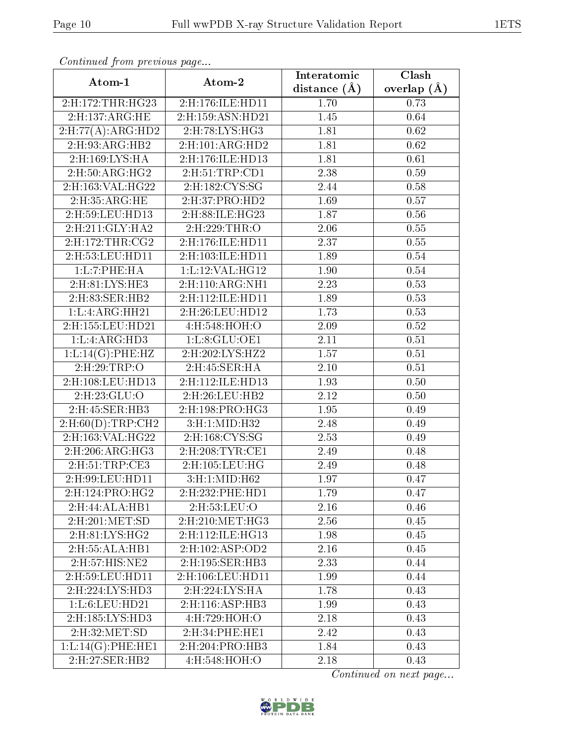| Atom-1                           | Atom-2                           | Interatomic       | Clash         |
|----------------------------------|----------------------------------|-------------------|---------------|
|                                  |                                  | distance $(\AA)$  | overlap $(A)$ |
| 2:H:172:THR:HG23                 | 2:H:176:ILE:HD11                 | 1.70              | 0.73          |
| 2:H:137:ARG:HE                   | 2:H:159:ASN:HD21                 | 1.45              | 0.64          |
| $2: H:77(A): ARG:\overline{HD2}$ | 2:H:78:LYS:HG3                   | 1.81              | 0.62          |
| 2:H:93:ARG:HB2                   | 2:H:101:ARG:HD2                  | 1.81              | 0.62          |
| 2:H:169:LYS:HA                   | 2:H:176:ILE:HD13                 | 1.81              | 0.61          |
| 2:H:50:ARG:HG2                   | 2:H:51:TRP:CD1                   | 2.38              | 0.59          |
| 2:H:163:VAL:HG22                 | 2:H:182:CYS:SG                   | 2.44              | 0.58          |
| 2:H:35:ARG:HE                    | $2:$ H:37:PRO:HD2                | 1.69              | 0.57          |
| 2:H:59:LEU:HD13                  | $2:$ H:88:ILE:H $\overline{G23}$ | 1.87              | 0.56          |
| 2:H:211:GLY:HA2                  | 2:H:229:THR:O                    | 2.06              | 0.55          |
| 2: H: 172: THR: CG2              | 2:H:176:ILE:HD11                 | 2.37              | 0.55          |
| 2:H:53:LEU:HD11                  | 2:H:103:ILE:HD11                 | 1.89              | 0.54          |
| 1: L: 7: PHE: HA                 | 1:L:12:VAL:HG12                  | 1.90              | 0.54          |
| 2:H:81:LYS:HE3                   | 2:H:110:ARG:NH1                  | 2.23              | 0.53          |
| 2:H:83:SER:HB2                   | 2:H:112:ILE:HD11                 | 1.89              | 0.53          |
| 1: L: 4: ARG: HH21               | 2:H:26:LEU:HD12                  | 1.73              | 0.53          |
| 2: H: 155: LEU: HD21             | 4:H:548:HOH:O                    | 2.09              | 0.52          |
| 1: L: 4: ARG: HD3                | 1: L:8: GLU:OE1                  | 2.11              | 0.51          |
| 1:L:14(G):PHE:HZ                 | 2:H:202:LYS:HZ2                  | $\overline{1.57}$ | 0.51          |
| 2:H:29:TRP:O                     | 2:H:45:SER:HA                    | 2.10              | 0.51          |
| 2:H:108:LEU:HD13                 | 2:H:112:ILE:HD13                 | 1.93              | 0.50          |
| 2:H:23:GLU:O                     | 2:H:26:LEU:HB2                   | 2.12              | 0.50          |
| 2:H:45:SER:HB3                   | 2: H: 198: PRO:HG3               | 1.95              | 0.49          |
| $2:$ H:60 $(D)$ :TRP:CH2         | 3:H:1:MID:H32                    | 2.48              | 0.49          |
| 2:H:163:VAL:HG22                 | 2:H:168:CYS:SG                   | 2.53              | 0.49          |
| 2:H:206:ARG:HG3                  | 2:H:208:TYR:CE1                  | 2.49              | 0.48          |
| 2:H:51:TRP:CE3                   | 2:H:105:LEU:HG                   | 2.49              | 0.48          |
| 2:H:99:LEU:HD11                  | 3:H:1:MID:H62                    | 1.97              | 0.47          |
| 2:H:124:PRO:HG2                  | 2:H:232:PHE:HD1                  | 1.79              | 0.47          |
| 2:H:44:ALA:HB1                   | 2:H:53:LEU:O                     | 2.16              | 0.46          |
| 2:H:201:MET:SD                   | 2: H:210: MET:HG3                | 2.56              | 0.45          |
| 2:H:81:LYS:HG2                   | 2:H:112:ILE:HG13                 | 1.98              | 0.45          |
| 2:H:55:ALA:HB1                   | 2:H:102:ASP:OD2                  | 2.16              | 0.45          |
| 2:H:57:HIS:NE2                   | 2:H:195:SER:HB3                  | 2.33              | 0.44          |
| 2: H:59: LEU: HD11               | 2:H:106:LEU:HD11                 | 1.99              | 0.44          |
| 2: H: 224: LYS: HD3              | 2: H:224: LYS: HA                | 1.78              | 0.43          |
| 1:L:6:LEU:HD21                   | 2:H:116:ASP:HB3                  | 1.99              | 0.43          |
| 2:H:185:LYS:HD3                  | 4:H:729:HOH:O                    | 2.18              | 0.43          |
| 2:H:32:MET:SD                    | 2:H:34:PHE:HE1                   | 2.42              | 0.43          |
| 1:L:14(G):PHE:HE1                | 2: H:204: PRO:HB3                | 1.84              | 0.43          |
| 2:H:27:SER:HB2                   | 4:H:548:HOH:O                    | 2.18              | 0.43          |

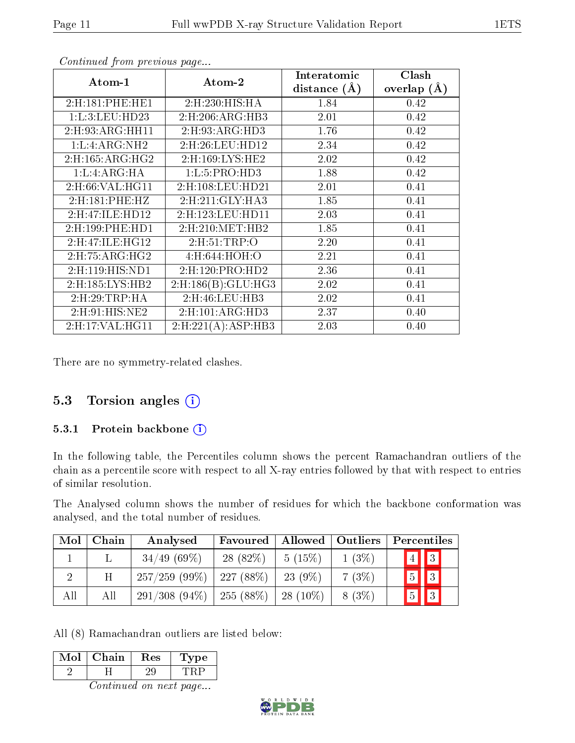| Atom-1                        | Atom-2                       | Interatomic    | Clash         |
|-------------------------------|------------------------------|----------------|---------------|
|                               |                              | distance $(A)$ | overlap $(A)$ |
| 2:H:181:PHE:HE1               | 2:H:230:HIS:HA               | 1.84           | 0.42          |
| 1: L:3: LEU: HD23             | 2: H:206: ARG: HB3           | 2.01           | 0.42          |
| 2: H: 93: ARG: HH11           | $2:$ H $:93:$ ARG $:$ HD $3$ | 1.76           | 0.42          |
| 1: L: 4: ARG:NH2              | 2:H:26:LEU:HD12              | 2.34           | 0.42          |
| 2: H: 165: ARG: HG2           | 2:H:169:LYS:HE2              | 2.02           | 0.42          |
| 1: L: 4: ARG: HA              | 1: L: 5: PRO: HD3            | 1.88           | 0.42          |
| 2: H:66: VAL:HGI1             | 2: H: 108: LEU: HD21         | 2.01           | 0.41          |
| 2: H:181: PHE: HZ             | 2: H:211: GLY: HA3           | 1.85           | 0.41          |
| 2:H:47:ILE:HD12               | 2: H: 123: LEU: HD11         | 2.03           | 0.41          |
| $2:$ H $:199:$ PHE $:$ HD $1$ | 2: H:210: MET:HB2            | 1.85           | 0.41          |
| 2:H:47:ILE:HG12               | 2: H: 51: TRP: O             | 2.20           | 0.41          |
| $2:$ H:75:ARG:HG2             | 4: H:644:HOH:O               | 2.21           | 0.41          |
| $2:$ H $:119:$ HIS:ND1        | 2: H: 120: PRO: HD2          | 2.36           | 0.41          |
| 2:H:185:LYS:HB2               | 2: H: 186(B): GLU: HG3       | 2.02           | 0.41          |
| 2: H:29: TRP: HA              | $2:$ H $:46:$ LEU $:$ HB $3$ | 2.02           | 0.41          |
| 2: H:91: HIS: NE2             | 2: H: 101: ARG: HD3          | 2.37           | 0.40          |
| 2:H:17:VAL:HG11               | 2: H:221(A):ASP:HB3          | 2.03           | 0.40          |

There are no symmetry-related clashes.

### 5.3 Torsion angles (i)

#### 5.3.1 Protein backbone (i)

In the following table, the Percentiles column shows the percent Ramachandran outliers of the chain as a percentile score with respect to all X-ray entries followed by that with respect to entries of similar resolution.

The Analysed column shows the number of residues for which the backbone conformation was analysed, and the total number of residues.

| Mol | Chain | Analysed        | Favoured    | Allowed   Outliers |          | Percentiles             |
|-----|-------|-----------------|-------------|--------------------|----------|-------------------------|
|     |       | 34/49(69%)      | $28(82\%)$  | 5(15%)             | $1(3\%)$ | $\boxed{4}$ $\boxed{3}$ |
|     | Η     | 257/259(99%)    | $227(88\%)$ | $23(9\%)$          | 7(3%)    | $\boxed{5}$ $\boxed{3}$ |
| All | All   | $291/308(94\%)$ | $255(88\%)$ | $28(10\%)$         | 8(3%)    | $\boxed{5}$ $\boxed{3}$ |

All (8) Ramachandran outliers are listed below:

| Mol | Chain | $\operatorname{Res}% \left( \mathcal{N}\right) \equiv\operatorname{Res}(\mathcal{N}_{0})\left( \mathcal{N}_{0}\right) ^{\ast}$ | vpe |  |
|-----|-------|--------------------------------------------------------------------------------------------------------------------------------|-----|--|
|     |       |                                                                                                                                |     |  |
|     |       |                                                                                                                                |     |  |

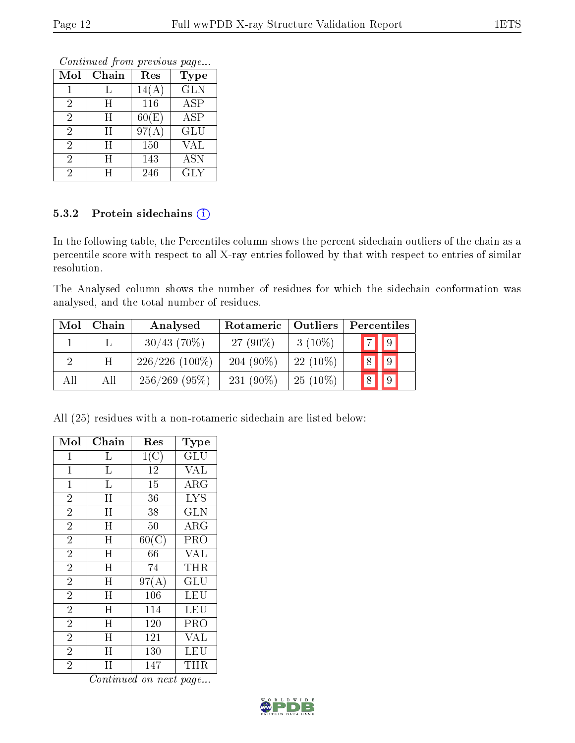Continued from previous page...

| Mol            | Chain                   | Res   | <b>Type</b> |
|----------------|-------------------------|-------|-------------|
|                |                         | 14(A) | <b>GLN</b>  |
| 2              | $H_{\rm}$               | 116   | <b>ASP</b>  |
| $\overline{2}$ | $H_{\rm}$               | 60(E) | ASP         |
| $\overline{2}$ | H                       | 97(A) | <b>GLU</b>  |
| $\overline{2}$ | $\overline{\mathrm{H}}$ | 150   | VAL         |
| $\overline{2}$ | $\overline{\mathrm{H}}$ | 143   | <b>ASN</b>  |
| 2              | H                       | 246   | <b>GLY</b>  |

#### 5.3.2 Protein sidechains (i)

In the following table, the Percentiles column shows the percent sidechain outliers of the chain as a percentile score with respect to all X-ray entries followed by that with respect to entries of similar resolution.

The Analysed column shows the number of residues for which the sidechain conformation was analysed, and the total number of residues.

| Mol | Chain | Analysed         | Rotameric   Outliers |            | Percentiles                      |  |  |
|-----|-------|------------------|----------------------|------------|----------------------------------|--|--|
|     |       | $30/43$ (70%)    | 27 $(90\%)$          | $3(10\%)$  | $\boxed{9}$<br>$\boxed{7}$       |  |  |
|     | Η     | $226/226$ (100%) | $204(90\%)$          | $22(10\%)$ | $ 9\rangle$<br>8 <sup>1</sup>    |  |  |
| All | Αll   | $256/269$ (95%)  | $231(90\%)$          | $25(10\%)$ | $\overline{9}$<br>8 <sup>1</sup> |  |  |

All (25) residues with a non-rotameric sidechain are listed below:

| Mol            | Chain | Res                | Type                 |
|----------------|-------|--------------------|----------------------|
| 1              | L     | 1(C)               | $\operatorname{GLU}$ |
| $\mathbf 1$    | L     | 12                 | <b>VAL</b>           |
| $\mathbf{1}$   | L     | 15                 | $\rm{ARG}$           |
| $\overline{2}$ | H     | 36                 | <b>LYS</b>           |
| $\overline{2}$ | H     | 38                 | <b>GLN</b>           |
| $\overline{2}$ | H     | 50                 | $\rm{ARG}$           |
| $\overline{2}$ | H     | $60(\overline{C})$ | PRO                  |
| $\overline{2}$ | H     | 66                 | <b>VAL</b>           |
| $\overline{2}$ | H     | 74                 | THR                  |
| $\overline{2}$ | H     | 97(A)              | $\operatorname{GLU}$ |
| $\overline{2}$ | H     | 106                | LEU                  |
| $\overline{2}$ | H     | 114                | LEU                  |
| $\overline{2}$ | Η     | 120                | PRO                  |
| $\overline{2}$ | H     | 121                | <b>VAL</b>           |
| $\overline{2}$ | H     | 130                | LEU                  |
| $\overline{2}$ | Η     | 147                | THR                  |

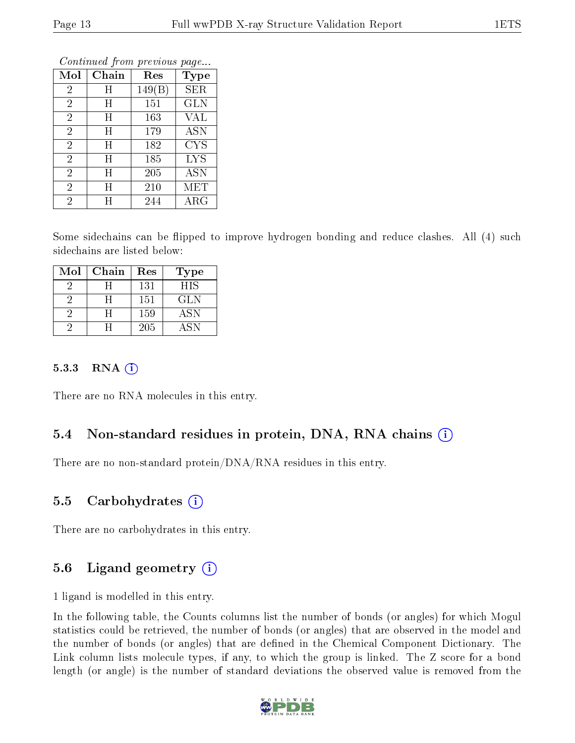| Mol            | Chain     | Res    | Type        |
|----------------|-----------|--------|-------------|
| $\overline{2}$ | Η         | 149(B) | SER         |
| $\overline{2}$ | Η         | 151    | <b>GLN</b>  |
| $\overline{2}$ | Η         | 163    | VAL         |
| $\overline{2}$ | Η         | 179    | <b>ASN</b>  |
| $\overline{2}$ | $H_{\rm}$ | 182    | <b>CYS</b>  |
| $\overline{2}$ | $H_{\rm}$ | 185    | <b>LYS</b>  |
| $\overline{2}$ | Η         | 205    | ASN         |
| $\overline{2}$ | H         | 210    | MET         |
| $\overline{2}$ | H         | 244    | ${\rm ARG}$ |

Some sidechains can be flipped to improve hydrogen bonding and reduce clashes. All (4) such sidechains are listed below:

| Mol | Chain | Res | Type       |
|-----|-------|-----|------------|
|     |       | 131 | <b>HIS</b> |
|     |       | 151 | GLN        |
|     |       | 159 | <b>ASN</b> |
|     |       | 205 | A SN       |

#### 5.3.3 RNA  $(i)$

There are no RNA molecules in this entry.

### 5.4 Non-standard residues in protein, DNA, RNA chains  $(i)$

There are no non-standard protein/DNA/RNA residues in this entry.

#### 5.5 Carbohydrates  $(i)$

There are no carbohydrates in this entry.

### 5.6 Ligand geometry  $(i)$

1 ligand is modelled in this entry.

In the following table, the Counts columns list the number of bonds (or angles) for which Mogul statistics could be retrieved, the number of bonds (or angles) that are observed in the model and the number of bonds (or angles) that are defined in the Chemical Component Dictionary. The Link column lists molecule types, if any, to which the group is linked. The Z score for a bond length (or angle) is the number of standard deviations the observed value is removed from the

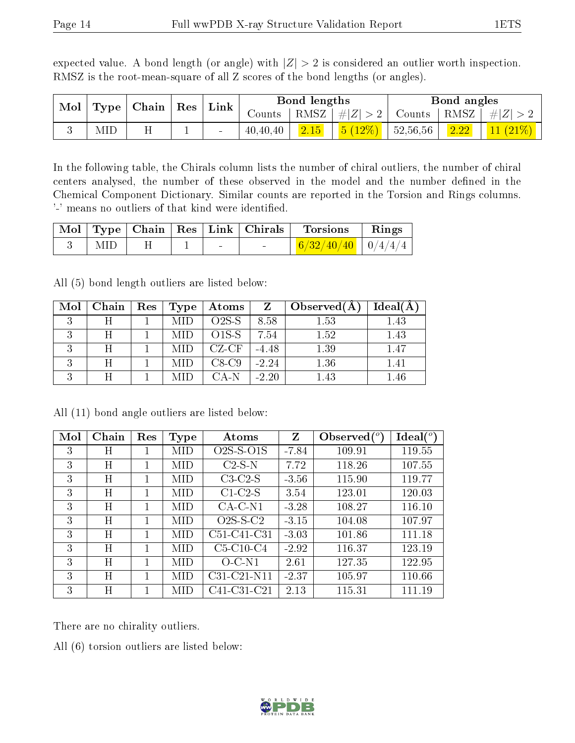expected value. A bond length (or angle) with  $|Z| > 2$  is considered an outlier worth inspection. RMSZ is the root-mean-square of all Z scores of the bond lengths (or angles).

| Mol | Type | Chain | Res | Link   |          | Bond lengths |                            |          | Bond angles |    |
|-----|------|-------|-----|--------|----------|--------------|----------------------------|----------|-------------|----|
|     |      |       |     | Counts | RMSZ     | $\# Z $      | Counts                     | RMSZ     | $\ E\ $     |    |
|     | MID  |       |     | -      | 40,40,40 | 2.15         | $(12\%)$<br>5 <sup>1</sup> | 52,56,56 | 2.22        | 11 |

In the following table, the Chirals column lists the number of chiral outliers, the number of chiral centers analysed, the number of these observed in the model and the number defined in the Chemical Component Dictionary. Similar counts are reported in the Torsion and Rings columns. '-' means no outliers of that kind were identified.

|      |  |        | Mol Type Chain Res Link Chirals Torsions Rings |  |
|------|--|--------|------------------------------------------------|--|
| MID. |  | $\sim$ | $\mid$ 6/32/40/40 $\mid$ 0/4/4/4 $\mid$        |  |

All (5) bond length outliers are listed below:

| Mol | Chain | Res | Type | Atoms   | Z       | Observed $(A)$ | Ideal(A  |
|-----|-------|-----|------|---------|---------|----------------|----------|
|     |       |     |      | $O2S-S$ | 8.58    | 1.53           | 1.43     |
|     | H     |     |      | $O1S-S$ | 7.54    | 1.52           | 1.43     |
|     | H     |     |      | $CZ-CF$ | $-4.48$ | 1.39           | 1.47     |
|     | Η     |     |      | $C8-C9$ | $-2.24$ | 1.36           | $1.41\,$ |
|     | H     |     |      | CA-N    | $-2.20$ | 1.43           | 1.46     |

| Mol | $Chain$ | Res | Type | Atoms                     | Z       | Observed $(°)$ | $\text{Ideal}({}^o)$ |
|-----|---------|-----|------|---------------------------|---------|----------------|----------------------|
| 3   | Η       |     | MID  | $O2S-S-O1S$               | $-7.84$ | 109.91         | 119.55               |
| 3   | H       |     | MID  | $C2-S-N$                  | 7.72    | 118.26         | 107.55               |
| 3   | H       |     | MID  | $C3-C2-S$                 | $-3.56$ | 115.90         | 119.77               |
| 3   | Η       |     | MID  | $C1-C2-S$                 | 3.54    | 123.01         | 120.03               |
| 3   | H       |     | MID  | $CA-C-N1$                 | $-3.28$ | 108.27         | 116.10               |
| 3   | H       |     | MID  | $O2S-S-C2$                | $-3.15$ | 104.08         | 107.97               |
| 3   | H       | 1.  | MID  | $C51-C41-C31$             | $-3.03$ | 101.86         | 111.18               |
| 3   | H       | 1   | MID  | $C5-C10-C4$               | $-2.92$ | 116.37         | 123.19               |
| 3   | H       |     | MID  | $O-C-N1$                  | 2.61    | 127.35         | 122.95               |
| 3   | H       |     | MID  | $C31-C21-N11$             | $-2.37$ | 105.97         | 110.66               |
| 3   | Η       |     | MID  | $\overline{C}41$ -C31-C21 | 2.13    | 115.31         | 111.19               |

All (11) bond angle outliers are listed below:

There are no chirality outliers.

All (6) torsion outliers are listed below:

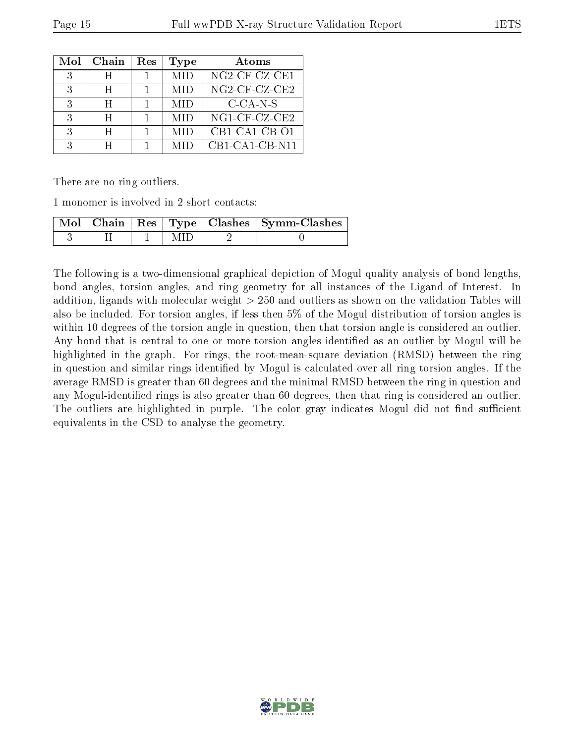| Mol | Chain | Res | Type | Atoms            |
|-----|-------|-----|------|------------------|
| २   |       |     | MID  | $NG2-CF-CZ-CE1$  |
| 3   | H     |     | MID  | $NG2$ -CF-CZ-CE2 |
| २   | H     |     | MID  | $C$ -CA-N-S      |
| २   | H     |     | MID  | $NG1$ -CF-CZ-CE2 |
| २   | H     |     | MID  | $CB1-CA1-CB-O1$  |
| 2   |       |     |      | $CB1-CA1-CB-N11$ |

There are no ring outliers.

1 monomer is involved in 2 short contacts:

|  |  | Mol   Chain   Res   Type   Clashes   Symm-Clashes |
|--|--|---------------------------------------------------|
|  |  |                                                   |

The following is a two-dimensional graphical depiction of Mogul quality analysis of bond lengths, bond angles, torsion angles, and ring geometry for all instances of the Ligand of Interest. In addition, ligands with molecular weight > 250 and outliers as shown on the validation Tables will also be included. For torsion angles, if less then 5% of the Mogul distribution of torsion angles is within 10 degrees of the torsion angle in question, then that torsion angle is considered an outlier. Any bond that is central to one or more torsion angles identified as an outlier by Mogul will be highlighted in the graph. For rings, the root-mean-square deviation (RMSD) between the ring in question and similar rings identified by Mogul is calculated over all ring torsion angles. If the average RMSD is greater than 60 degrees and the minimal RMSD between the ring in question and any Mogul-identified rings is also greater than 60 degrees, then that ring is considered an outlier. The outliers are highlighted in purple. The color gray indicates Mogul did not find sufficient equivalents in the CSD to analyse the geometry.

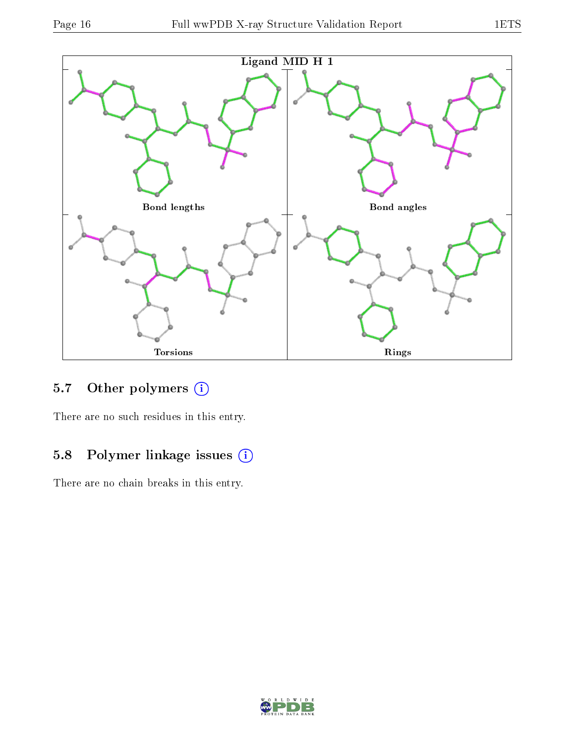

## 5.7 [O](https://www.wwpdb.org/validation/2017/XrayValidationReportHelp#nonstandard_residues_and_ligands)ther polymers (i)

There are no such residues in this entry.

## 5.8 Polymer linkage issues (i)

There are no chain breaks in this entry.